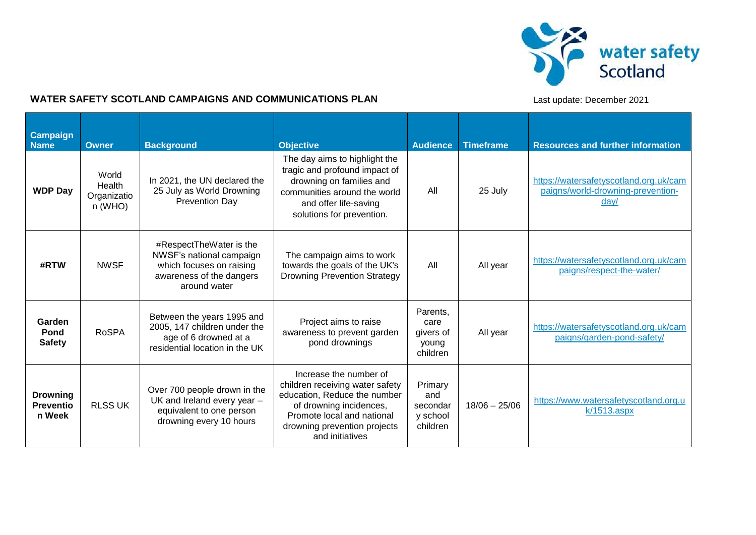

## **WATER SAFETY SCOTLAND CAMPAIGNS AND COMMUNICATIONS PLAN** *Last update: December 2021*

| <b>Campaign</b><br><b>Name</b>                | <b>Owner</b>                                | <b>Background</b>                                                                                                           | <b>Objective</b>                                                                                                                                                                                      | <b>Audience</b>                                    | <b>Timeframe</b> | <b>Resources and further information</b>                                            |
|-----------------------------------------------|---------------------------------------------|-----------------------------------------------------------------------------------------------------------------------------|-------------------------------------------------------------------------------------------------------------------------------------------------------------------------------------------------------|----------------------------------------------------|------------------|-------------------------------------------------------------------------------------|
| <b>WDP Day</b>                                | World<br>Health<br>Organizatio<br>$n$ (WHO) | In 2021, the UN declared the<br>25 July as World Drowning<br>Prevention Day                                                 | The day aims to highlight the<br>tragic and profound impact of<br>drowning on families and<br>communities around the world<br>and offer life-saving<br>solutions for prevention.                      | All                                                | 25 July          | https://watersafetyscotland.org.uk/cam<br>paigns/world-drowning-prevention-<br>dav/ |
| #RTW                                          | <b>NWSF</b>                                 | #RespectTheWater is the<br>NWSF's national campaign<br>which focuses on raising<br>awareness of the dangers<br>around water | The campaign aims to work<br>towards the goals of the UK's<br><b>Drowning Prevention Strategy</b>                                                                                                     | All                                                | All year         | https://watersafetyscotland.org.uk/cam<br>paigns/respect-the-water/                 |
| Garden<br>Pond<br><b>Safety</b>               | <b>RoSPA</b>                                | Between the years 1995 and<br>2005, 147 children under the<br>age of 6 drowned at a<br>residential location in the UK       | Project aims to raise<br>awareness to prevent garden<br>pond drownings                                                                                                                                | Parents,<br>care<br>givers of<br>young<br>children | All year         | https://watersafetyscotland.org.uk/cam<br>paigns/garden-pond-safety/                |
| <b>Drowning</b><br><b>Preventio</b><br>n Week | <b>RLSS UK</b>                              | Over 700 people drown in the<br>UK and Ireland every year -<br>equivalent to one person<br>drowning every 10 hours          | Increase the number of<br>children receiving water safety<br>education, Reduce the number<br>of drowning incidences,<br>Promote local and national<br>drowning prevention projects<br>and initiatives | Primary<br>and<br>secondar<br>y school<br>children | $18/06 - 25/06$  | https://www.watersafetyscotland.org.u<br>$k/1513$ .aspx                             |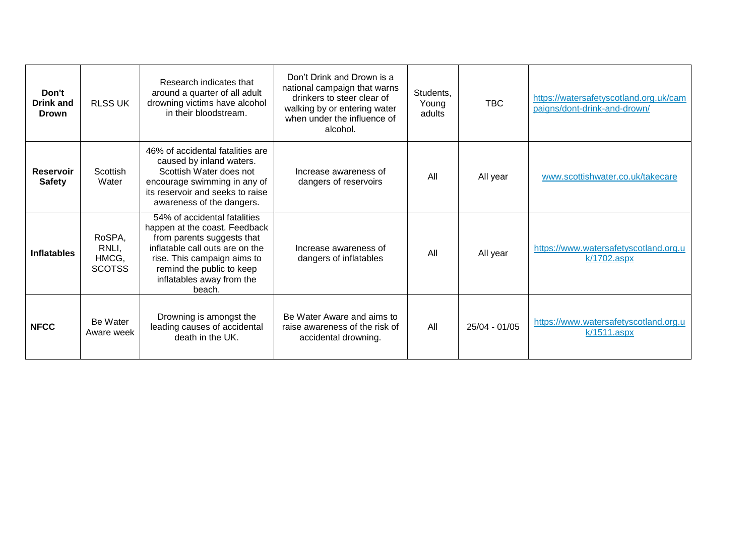| Don't<br>Drink and<br><b>Drown</b> | <b>RLSS UK</b>                            | Research indicates that<br>around a quarter of all adult<br>drowning victims have alcohol<br>in their bloodstream.                                                                                                                | Don't Drink and Drown is a<br>national campaign that warns<br>drinkers to steer clear of<br>walking by or entering water<br>when under the influence of<br>alcohol. | Students,<br>Young<br>adults | <b>TBC</b>    | https://watersafetyscotland.org.uk/cam<br>paigns/dont-drink-and-drown/ |
|------------------------------------|-------------------------------------------|-----------------------------------------------------------------------------------------------------------------------------------------------------------------------------------------------------------------------------------|---------------------------------------------------------------------------------------------------------------------------------------------------------------------|------------------------------|---------------|------------------------------------------------------------------------|
| <b>Reservoir</b><br><b>Safety</b>  | Scottish<br>Water                         | 46% of accidental fatalities are<br>caused by inland waters.<br>Scottish Water does not<br>encourage swimming in any of<br>its reservoir and seeks to raise<br>awareness of the dangers.                                          | Increase awareness of<br>dangers of reservoirs                                                                                                                      | All                          | All year      | www.scottishwater.co.uk/takecare                                       |
| <b>Inflatables</b>                 | RoSPA,<br>RNLI,<br>HMCG,<br><b>SCOTSS</b> | 54% of accidental fatalities<br>happen at the coast. Feedback<br>from parents suggests that<br>inflatable call outs are on the<br>rise. This campaign aims to<br>remind the public to keep<br>inflatables away from the<br>beach. | Increase awareness of<br>dangers of inflatables                                                                                                                     | All                          | All year      | https://www.watersafetyscotland.org.u<br>k/1702.aspx                   |
| <b>NFCC</b>                        | Be Water<br>Aware week                    | Drowning is amongst the<br>leading causes of accidental<br>death in the UK.                                                                                                                                                       | Be Water Aware and aims to<br>raise awareness of the risk of<br>accidental drowning.                                                                                | All                          | 25/04 - 01/05 | https://www.watersafetyscotland.org.u<br>$k/1511$ .aspx                |